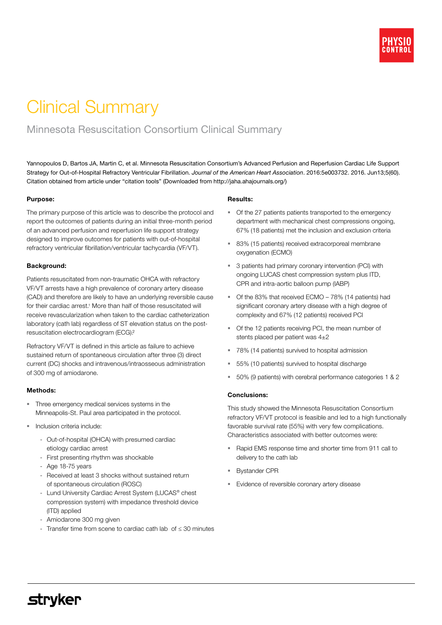# Clinical Summary

### Minnesota Resuscitation Consortium Clinical Summary

Yannopoulos D, Bartos JA, Martin C, et al. Minnesota Resuscitation Consortium's Advanced Perfusion and Reperfusion Cardiac Life Support Strategy for Out-of-Hospital Refractory Ventricular Fibrillation. *Journal of the American Heart Association*. 2016:5e003732. 2016. Jun13;5(60). Citation obtained from article under "citation tools" (Downloaded from http://jaha.ahajournals.org/)

#### Purpose:

The primary purpose of this article was to describe the protocol and report the outcomes of patients during an initial three-month period of an advanced perfusion and reperfusion life support strategy designed to improve outcomes for patients with out-of-hospital refractory ventricular fibrillation/ventricular tachycardia (VF/VT).

#### Background:

Patients resuscitated from non-traumatic OHCA with refractory VF/VT arrests have a high prevalence of coronary artery disease (CAD) and therefore are likely to have an underlying reversible cause for their cardiac arrest.<sup>1</sup> More than half of those resuscitated will receive revascularization when taken to the cardiac catheterization laboratory (cath lab) regardless of ST elevation status on the postresuscitation electrocardiogram (ECG)?

Refractory VF/VT is defined in this article as failure to achieve sustained return of spontaneous circulation after three (3) direct current (DC) shocks and intravenous/intraosseous administration of 300 mg of amiodarone.

#### Methods:

- Three emergency medical services systems in the Minneapolis-St. Paul area participated in the protocol.
- Inclusion criteria include:
	- Out-of-hospital (OHCA) with presumed cardiac etiology cardiac arrest
	- First presenting rhythm was shockable
	- Age 18-75 years
	- Received at least 3 shocks without sustained return of spontaneous circulation (ROSC)
	- Lund University Cardiac Arrest System (LUCAS<sup>®</sup> chest compression system) with impedance threshold device (ITD) applied
	- Amiodarone 300 mg given
	- Transfer time from scene to cardiac cath lab of ≤ 30 minutes

#### Results:

- Of the 27 patients patients transported to the emergency department with mechanical chest compressions ongoing, 67% (18 patients) met the inclusion and exclusion criteria
- 83% (15 patients) received extracorporeal membrane oxygenation (ECMO)
- 3 patients had primary coronary intervention (PCI) with ongoing LUCAS chest compression system plus ITD, CPR and intra-aortic balloon pump (IABP)
- Of the 83% that received ECMO 78% (14 patients) had significant coronary artery disease with a high degree of complexity and 67% (12 patients) received PCI
- Of the 12 patients receiving PCI, the mean number of stents placed per patient was 4±2
- 78% (14 patients) survived to hospital admission
- 55% (10 patients) survived to hospital discharge
- 50% (9 patients) with cerebral performance categories 1 & 2

#### Conclusions:

This study showed the Minnesota Resuscitation Consortium refractory VF/VT protocol is feasible and led to a high functionally favorable survival rate (55%) with very few complications. Characteristics associated with better outcomes were:

- Rapid EMS response time and shorter time from 911 call to delivery to the cath lab
- Bystander CPR
- **Evidence of reversible coronary artery disease**

## **stryker**